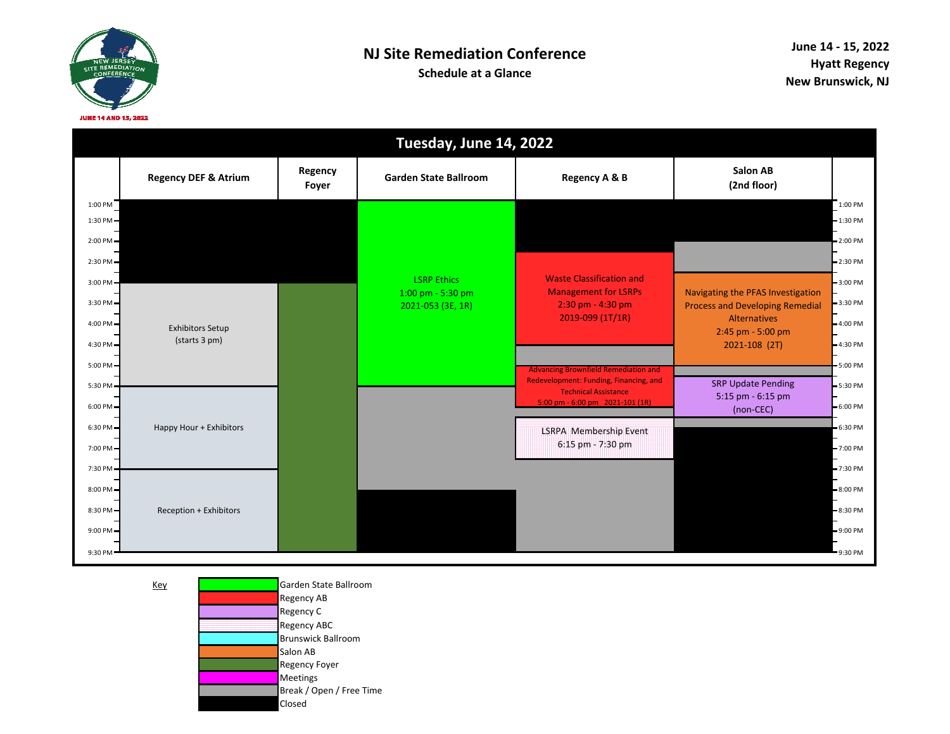

|                          | Tuesday, June 14, 2022                   |                  |                                         |                                                                                       |                                                                                    |                          |  |  |
|--------------------------|------------------------------------------|------------------|-----------------------------------------|---------------------------------------------------------------------------------------|------------------------------------------------------------------------------------|--------------------------|--|--|
|                          | <b>Regency DEF &amp; Atrium</b>          | Regency<br>Foyer | <b>Garden State Ballroom</b>            | Regency A & B                                                                         | <b>Salon AB</b><br>(2nd floor)                                                     |                          |  |  |
| 1:00 PM<br>$1:30$ PM $-$ |                                          |                  |                                         |                                                                                       |                                                                                    | 1:00 PM<br>$-1:30$ PM    |  |  |
| $2:00$ PM $=$            |                                          |                  |                                         |                                                                                       |                                                                                    | $-2:00$ PM               |  |  |
| 2:30 PM-                 |                                          |                  |                                         |                                                                                       |                                                                                    | $= 2:30$ PM              |  |  |
| 3:00 PM                  |                                          |                  | <b>LSRP Ethics</b><br>1:00 pm - 5:30 pm | <b>Waste Classification and</b><br><b>Management for LSRPs</b>                        | Navigating the PFAS Investigation                                                  | $-3:00$ PM               |  |  |
| 3:30 PM -                |                                          |                  | 2021-053 (3E, 1R)                       | 2:30 pm - 4:30 pm<br>2019-099 (1T/1R)                                                 | <b>Process and Developing Remedial</b><br><b>Alternatives</b><br>2:45 pm - 5:00 pm | $-3:30$ PM               |  |  |
| 4:00 PM $=$              | <b>Exhibitors Setup</b><br>(starts 3 pm) |                  |                                         |                                                                                       |                                                                                    | $-4:00$ PM               |  |  |
| $4:30$ PM $-$            |                                          |                  |                                         |                                                                                       | 2021-108 (2T)                                                                      | $-4:30$ PM               |  |  |
| $5:00$ PM $=$<br>5:30 PM |                                          |                  |                                         | <b>Advancing Brownfield Remediation and</b><br>Redevelopment: Funding, Financing, and | <b>SRP Update Pending</b>                                                          | $-5:00$ PM<br>$-5:30$ PM |  |  |
| $6:00$ PM $-$            |                                          |                  |                                         | <b>Technical Assistance</b><br>5:00 pm - 6:00 pm $2021-101$ (1R)                      | 5:15 pm - 6:15 pm<br>(non-CEC)                                                     | $-6:00$ PM               |  |  |
| $6:30$ PM $-$            | Happy Hour + Exhibitors                  |                  |                                         | LSRPA Membership Event                                                                |                                                                                    | $-6:30$ PM               |  |  |
| 7:00 PM=                 |                                          |                  |                                         | 6:15 pm - 7:30 pm                                                                     |                                                                                    | $-7:00$ PM               |  |  |
| 7:30 PM                  |                                          |                  |                                         |                                                                                       |                                                                                    | $-7:30$ PM               |  |  |
| 8:00 PM-                 |                                          |                  |                                         |                                                                                       |                                                                                    | $-8:00$ PM               |  |  |
| 8:30 PM                  | Reception + Exhibitors                   |                  |                                         |                                                                                       |                                                                                    | $-8:30$ PM               |  |  |
| 9:00 PM-                 |                                          |                  |                                         |                                                                                       |                                                                                    | $-9:00$ PM               |  |  |
| 9:30 PM                  |                                          |                  |                                         |                                                                                       |                                                                                    | 9:30 PM                  |  |  |

Key

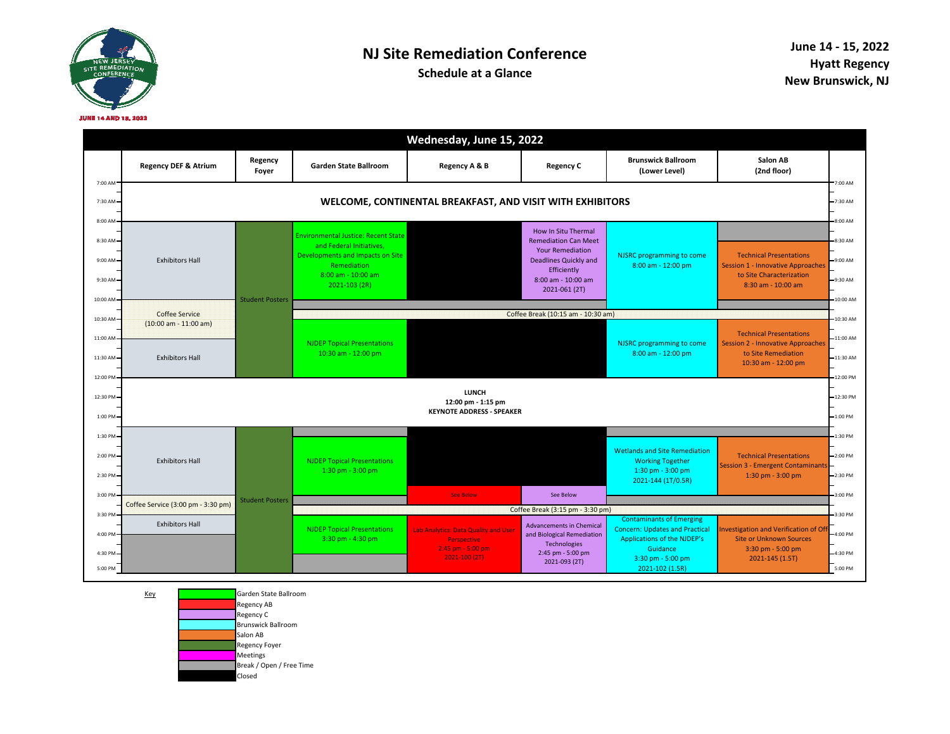

## **NJ Site Remediation Conference**

**Schedule at a Glance**

|                                                 |                                                                                                              |                        |                                                                                                                                                                  | Wednesday, June 15, 2022                                                                     |                                                                                                                                                                     |                                                                                                                                          |                                                                                                                          |  |
|-------------------------------------------------|--------------------------------------------------------------------------------------------------------------|------------------------|------------------------------------------------------------------------------------------------------------------------------------------------------------------|----------------------------------------------------------------------------------------------|---------------------------------------------------------------------------------------------------------------------------------------------------------------------|------------------------------------------------------------------------------------------------------------------------------------------|--------------------------------------------------------------------------------------------------------------------------|--|
|                                                 | <b>Regency DEF &amp; Atrium</b>                                                                              | Regency<br>Foyer       | <b>Garden State Ballroom</b>                                                                                                                                     | Regency A & B                                                                                | <b>Regency C</b>                                                                                                                                                    | <b>Brunswick Ballroom</b><br>(Lower Level)                                                                                               | Salon AB<br>(2nd floor)                                                                                                  |  |
| 7:00 AM<br>7:30 AM-<br>8:00 AM                  | 7:00 AM<br>WELCOME, CONTINENTAL BREAKFAST, AND VISIT WITH EXHIBITORS<br>7:30 AM<br>8:00 AM                   |                        |                                                                                                                                                                  |                                                                                              |                                                                                                                                                                     |                                                                                                                                          |                                                                                                                          |  |
| 8:30 AM<br>$9:00$ AM $-$<br>9:30 AM<br>10:00 AM | <b>Exhibitors Hall</b>                                                                                       | <b>Student Posters</b> | <b>Environmental Justice: Recent State</b><br>and Federal Initiatives.<br>Developments and Impacts on Site<br>Remediation<br>8:00 am - 10:00 am<br>2021-103 (2R) |                                                                                              | How In Situ Thermal<br><b>Remediation Can Meet</b><br><b>Your Remediation</b><br><b>Deadlines Quickly and</b><br>Efficiently<br>8:00 am - 10:00 am<br>2021-061 (2T) | NJSRC programming to come<br>8:00 am - 12:00 pm                                                                                          | <b>Technical Presentations</b><br>Session 1 - Innovative Approaches<br>to Site Characterization<br>8:30 am - 10:00 am    |  |
| $10:30$ AM $-$                                  | Coffee Service<br>$(10:00 \text{ am} - 11:00 \text{ am})$                                                    |                        |                                                                                                                                                                  |                                                                                              | Coffee Break (10:15 am - 10:30 am)                                                                                                                                  |                                                                                                                                          |                                                                                                                          |  |
| 11:00 AM<br>11:30 AM-<br>12:00 PM               | <b>Exhibitors Hall</b>                                                                                       |                        | <b>NJDEP Topical Presentations</b><br>10:30 am - 12:00 pm                                                                                                        |                                                                                              |                                                                                                                                                                     | NJSRC programming to come<br>8:00 am - 12:00 pm                                                                                          | <b>Technical Presentations</b><br><b>Session 2 - Innovative Approaches</b><br>to Site Remediation<br>10:30 am - 12:00 pm |  |
| 12:30 PM-<br>1:00 PM-                           | 12:00 PM<br><b>LUNCH</b><br>12:30 PM<br>12:00 pm - 1:15 pm<br><b>KEYNOTE ADDRESS - SPEAKER</b><br>$-1:00$ PM |                        |                                                                                                                                                                  |                                                                                              |                                                                                                                                                                     |                                                                                                                                          |                                                                                                                          |  |
| 1:30 PM-                                        |                                                                                                              |                        |                                                                                                                                                                  |                                                                                              |                                                                                                                                                                     |                                                                                                                                          |                                                                                                                          |  |
| 2:00 PM<br>2:30 PM-                             | <b>Exhibitors Hall</b>                                                                                       | <b>Student Posters</b> | <b>NJDEP Topical Presentations</b><br>$1:30$ pm - $3:00$ pm                                                                                                      |                                                                                              |                                                                                                                                                                     | <b>Wetlands and Site Remediation</b><br><b>Working Together</b><br>1:30 pm - 3:00 pm<br>2021-144 (1T/0.5R)                               | <b>Technical Presentations</b><br><b>Session 3 - Emergent Contaminants</b><br>$1:30$ pm - $3:00$ pm                      |  |
| 3:00 PM                                         |                                                                                                              |                        |                                                                                                                                                                  |                                                                                              | <b>See Below</b>                                                                                                                                                    | See Below                                                                                                                                |                                                                                                                          |  |
| 3:30 PM                                         | Coffee Service (3:00 pm - 3:30 pm)                                                                           |                        | Coffee Break (3:15 pm - 3:30 pm)                                                                                                                                 |                                                                                              |                                                                                                                                                                     |                                                                                                                                          |                                                                                                                          |  |
| 4:00 PM<br>4:30 PM                              | <b>Exhibitors Hall</b>                                                                                       |                        | <b>NJDEP Topical Presentations</b><br>$3:30$ pm - 4:30 pm                                                                                                        | Lab Analytics: Data Quality and User<br>Perspective<br>2:45 pm - 5:00 pm<br>$2021 - 100(2T)$ | <b>Advancements in Chemical</b><br>and Biological Remediation<br><b>Technologies</b><br>2:45 pm - 5:00 pm                                                           | <b>Contaminants of Emerging</b><br><b>Concern: Updates and Practical</b><br>Applications of the NJDEP's<br>Guidance<br>3:30 pm - 5:00 pm | nvestigation and Verification of Of<br><b>Site or Unknown Sources</b><br>3:30 pm - 5:00 pm<br>2021-145 (1.5T)            |  |
| 5:00 PM                                         |                                                                                                              |                        |                                                                                                                                                                  |                                                                                              | 2021-093 (2T)                                                                                                                                                       | 2021-102 (1.5R)                                                                                                                          |                                                                                                                          |  |



Key